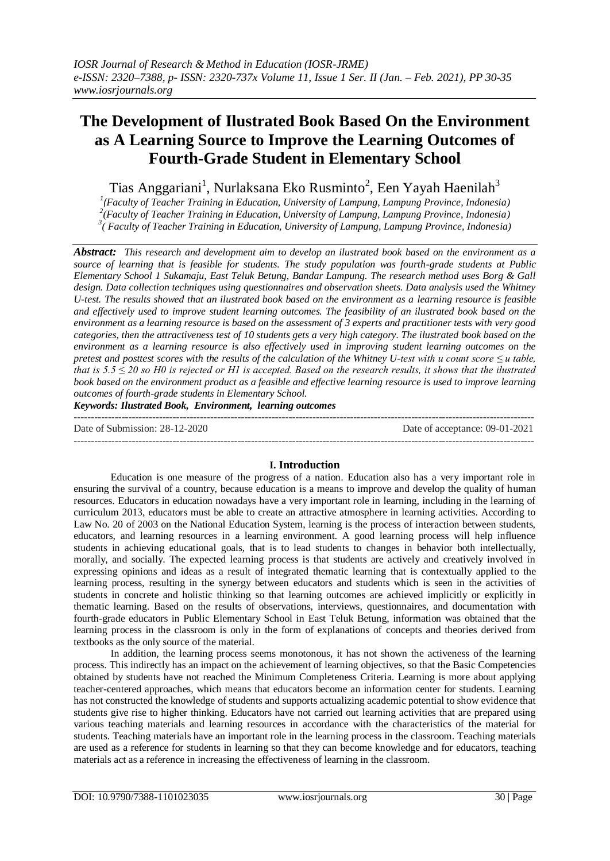# **The Development of Ilustrated Book Based On the Environment as A Learning Source to Improve the Learning Outcomes of Fourth-Grade Student in Elementary School**

Tias Anggariani<sup>1</sup>, Nurlaksana Eko Rusminto<sup>2</sup>, Een Yayah Haenilah<sup>3</sup>

*1 (Faculty of Teacher Training in Education, University of Lampung, Lampung Province, Indonesia) 2 (Faculty of Teacher Training in Education, University of Lampung, Lampung Province, Indonesia) 3 ( Faculty of Teacher Training in Education, University of Lampung, Lampung Province, Indonesia)*

*Abstract: This research and development aim to develop an ilustrated book based on the environment as a source of learning that is feasible for students. The study population was fourth-grade students at Public Elementary School 1 Sukamaju, East Teluk Betung, Bandar Lampung. The research method uses Borg & Gall design. Data collection techniques using questionnaires and observation sheets. Data analysis used the Whitney U-test. The results showed that an ilustrated book based on the environment as a learning resource is feasible and effectively used to improve student learning outcomes. The feasibility of an ilustrated book based on the environment as a learning resource is based on the assessment of 3 experts and practitioner tests with very good categories, then the attractiveness test of 10 students gets a very high category. The ilustrated book based on the environment as a learning resource is also effectively used in improving student learning outcomes on the pretest and posttest scores with the results of the calculation of the Whitney U-test with u count score ≤ u table, that is 5.5 ≤ 20 so H0 is rejected or H1 is accepted. Based on the research results, it shows that the ilustrated book based on the environment product as a feasible and effective learning resource is used to improve learning outcomes of fourth-grade students in Elementary School.*

*Keywords: Ilustrated Book, Environment, learning outcomes*

| Date of Submission: 28-12-2020 | Date of acceptance: 09-01-2021 |
|--------------------------------|--------------------------------|
|                                |                                |

# **I. Introduction**

Education is one measure of the progress of a nation. Education also has a very important role in ensuring the survival of a country, because education is a means to improve and develop the quality of human resources. Educators in education nowadays have a very important role in learning, including in the learning of curriculum 2013, educators must be able to create an attractive atmosphere in learning activities. According to Law No. 20 of 2003 on the National Education System, learning is the process of interaction between students, educators, and learning resources in a learning environment. A good learning process will help influence students in achieving educational goals, that is to lead students to changes in behavior both intellectually, morally, and socially. The expected learning process is that students are actively and creatively involved in expressing opinions and ideas as a result of integrated thematic learning that is contextually applied to the learning process, resulting in the synergy between educators and students which is seen in the activities of students in concrete and holistic thinking so that learning outcomes are achieved implicitly or explicitly in thematic learning. Based on the results of observations, interviews, questionnaires, and documentation with fourth-grade educators in Public Elementary School in East Teluk Betung, information was obtained that the learning process in the classroom is only in the form of explanations of concepts and theories derived from textbooks as the only source of the material.

In addition, the learning process seems monotonous, it has not shown the activeness of the learning process. This indirectly has an impact on the achievement of learning objectives, so that the Basic Competencies obtained by students have not reached the Minimum Completeness Criteria. Learning is more about applying teacher-centered approaches, which means that educators become an information center for students. Learning has not constructed the knowledge of students and supports actualizing academic potential to show evidence that students give rise to higher thinking. Educators have not carried out learning activities that are prepared using various teaching materials and learning resources in accordance with the characteristics of the material for students. Teaching materials have an important role in the learning process in the classroom. Teaching materials are used as a reference for students in learning so that they can become knowledge and for educators, teaching materials act as a reference in increasing the effectiveness of learning in the classroom.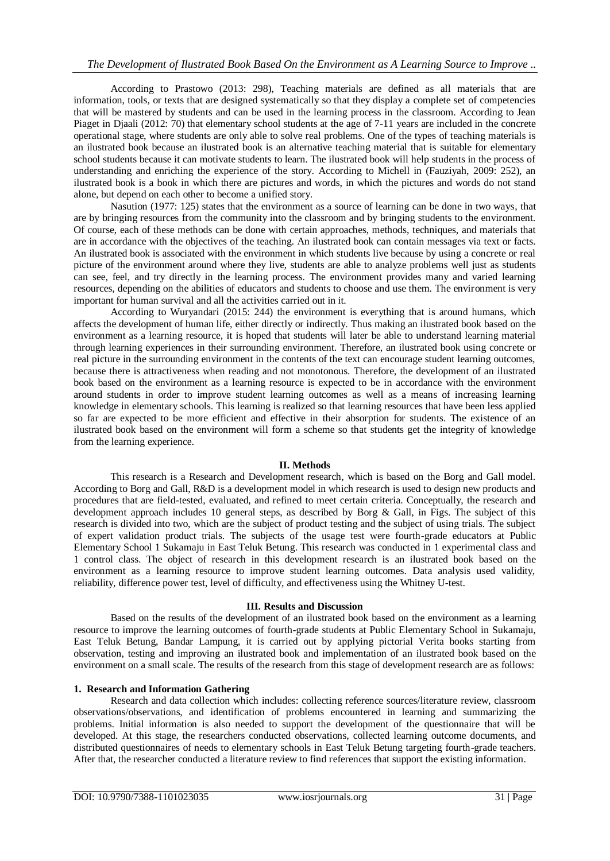According to Prastowo (2013: 298), Teaching materials are defined as all materials that are information, tools, or texts that are designed systematically so that they display a complete set of competencies that will be mastered by students and can be used in the learning process in the classroom. According to Jean Piaget in Djaali (2012: 70) that elementary school students at the age of 7-11 years are included in the concrete operational stage, where students are only able to solve real problems. One of the types of teaching materials is an ilustrated book because an ilustrated book is an alternative teaching material that is suitable for elementary school students because it can motivate students to learn. The ilustrated book will help students in the process of understanding and enriching the experience of the story. According to Michell in (Fauziyah, 2009: 252), an ilustrated book is a book in which there are pictures and words, in which the pictures and words do not stand alone, but depend on each other to become a unified story.

Nasution (1977: 125) states that the environment as a source of learning can be done in two ways, that are by bringing resources from the community into the classroom and by bringing students to the environment. Of course, each of these methods can be done with certain approaches, methods, techniques, and materials that are in accordance with the objectives of the teaching. An ilustrated book can contain messages via text or facts. An ilustrated book is associated with the environment in which students live because by using a concrete or real picture of the environment around where they live, students are able to analyze problems well just as students can see, feel, and try directly in the learning process. The environment provides many and varied learning resources, depending on the abilities of educators and students to choose and use them. The environment is very important for human survival and all the activities carried out in it.

According to Wuryandari (2015: 244) the environment is everything that is around humans, which affects the development of human life, either directly or indirectly. Thus making an ilustrated book based on the environment as a learning resource, it is hoped that students will later be able to understand learning material through learning experiences in their surrounding environment. Therefore, an ilustrated book using concrete or real picture in the surrounding environment in the contents of the text can encourage student learning outcomes, because there is attractiveness when reading and not monotonous. Therefore, the development of an ilustrated book based on the environment as a learning resource is expected to be in accordance with the environment around students in order to improve student learning outcomes as well as a means of increasing learning knowledge in elementary schools. This learning is realized so that learning resources that have been less applied so far are expected to be more efficient and effective in their absorption for students. The existence of an ilustrated book based on the environment will form a scheme so that students get the integrity of knowledge from the learning experience.

## **II. Methods**

This research is a Research and Development research, which is based on the Borg and Gall model. According to Borg and Gall, R&D is a development model in which research is used to design new products and procedures that are field-tested, evaluated, and refined to meet certain criteria. Conceptually, the research and development approach includes 10 general steps, as described by Borg & Gall, in Figs. The subject of this research is divided into two, which are the subject of product testing and the subject of using trials. The subject of expert validation product trials. The subjects of the usage test were fourth-grade educators at Public Elementary School 1 Sukamaju in East Teluk Betung. This research was conducted in 1 experimental class and 1 control class. The object of research in this development research is an ilustrated book based on the environment as a learning resource to improve student learning outcomes. Data analysis used validity, reliability, difference power test, level of difficulty, and effectiveness using the Whitney U-test.

## **III. Results and Discussion**

Based on the results of the development of an ilustrated book based on the environment as a learning resource to improve the learning outcomes of fourth-grade students at Public Elementary School in Sukamaju, East Teluk Betung, Bandar Lampung, it is carried out by applying pictorial Verita books starting from observation, testing and improving an ilustrated book and implementation of an ilustrated book based on the environment on a small scale. The results of the research from this stage of development research are as follows:

## **1. Research and Information Gathering**

Research and data collection which includes: collecting reference sources/literature review, classroom observations/observations, and identification of problems encountered in learning and summarizing the problems. Initial information is also needed to support the development of the questionnaire that will be developed. At this stage, the researchers conducted observations, collected learning outcome documents, and distributed questionnaires of needs to elementary schools in East Teluk Betung targeting fourth-grade teachers. After that, the researcher conducted a literature review to find references that support the existing information.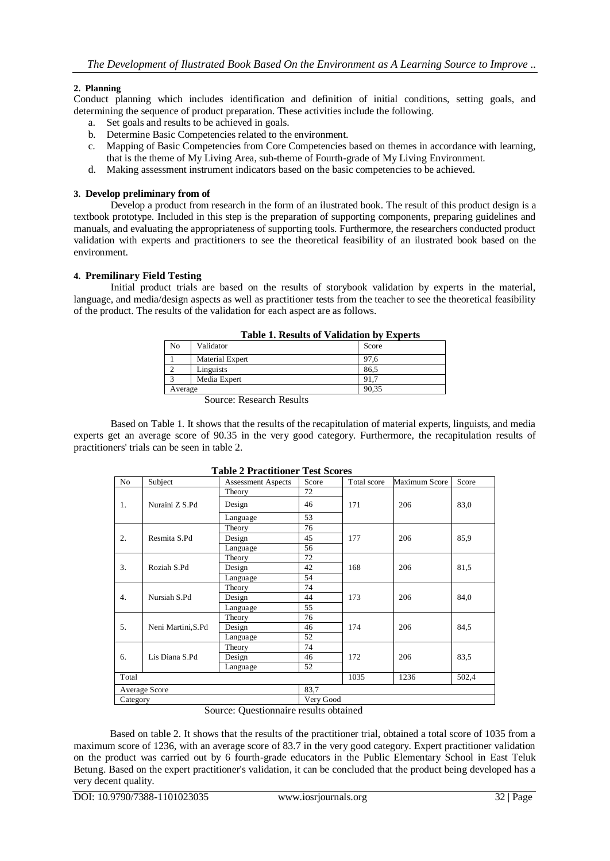# **2. Planning**

Conduct planning which includes identification and definition of initial conditions, setting goals, and determining the sequence of product preparation. These activities include the following.

- a. Set goals and results to be achieved in goals.
- b. Determine Basic Competencies related to the environment.
- c. Mapping of Basic Competencies from Core Competencies based on themes in accordance with learning, that is the theme of My Living Area, sub-theme of Fourth-grade of My Living Environment.
- d. Making assessment instrument indicators based on the basic competencies to be achieved.

## **3. Develop preliminary from of**

Develop a product from research in the form of an ilustrated book. The result of this product design is a textbook prototype. Included in this step is the preparation of supporting components, preparing guidelines and manuals, and evaluating the appropriateness of supporting tools. Furthermore, the researchers conducted product validation with experts and practitioners to see the theoretical feasibility of an ilustrated book based on the environment.

## **4. Premilinary Field Testing**

Initial product trials are based on the results of storybook validation by experts in the material, language, and media/design aspects as well as practitioner tests from the teacher to see the theoretical feasibility of the product. The results of the validation for each aspect are as follows.

| Table 1. Results of Vanuation by Experts |                                    |       |  |
|------------------------------------------|------------------------------------|-------|--|
| N <sub>0</sub>                           | Validator                          | Score |  |
|                                          | Material Expert                    | 97.6  |  |
|                                          | Linguists                          | 86.5  |  |
|                                          | Media Expert                       | 91.7  |  |
| Average                                  |                                    | 90.35 |  |
|                                          | $\sim$<br><sup>n</sup><br>T.<br>л. |       |  |

Source: Research Results

Based on Table 1. It shows that the results of the recapitulation of material experts, linguists, and media experts get an average score of 90.35 in the very good category. Furthermore, the recapitulation results of practitioners' trials can be seen in table 2.

|                       |                                            | rabic $\bf{r}$ riactitioner rest bedres |           |             |               |       |
|-----------------------|--------------------------------------------|-----------------------------------------|-----------|-------------|---------------|-------|
| N <sub>o</sub>        | Subject                                    | <b>Assessment Aspects</b>               | Score     | Total score | Maximum Score | Score |
| 1.                    | Nuraini Z S.Pd                             | Theory                                  | 72        | 171         | 206           |       |
|                       |                                            | Design                                  | 46        |             |               | 83.0  |
|                       |                                            | Language                                | 53        |             |               |       |
|                       |                                            | Theory                                  | 76        |             | 206           | 85.9  |
| 2.                    | Resmita S.Pd                               | Design                                  | 45        | 177         |               |       |
|                       |                                            | Language                                | 56        |             |               |       |
|                       |                                            | Theory                                  | 72        |             | 206           | 81,5  |
| 3.                    | Roziah S.Pd                                | Design                                  | 42        | 168         |               |       |
|                       |                                            | Language                                | 54        |             |               |       |
|                       |                                            | Theory                                  | 74        |             | 206           | 84,0  |
| 4.                    | Nursiah S.Pd                               | Design                                  | 44        | 173         |               |       |
|                       |                                            | Language                                | 55        |             |               |       |
|                       |                                            | Theory                                  | 76        |             | 206           |       |
| 5.                    | Neni Martini, S.Pd                         | Design                                  | 46        | 174         |               | 84,5  |
|                       |                                            | Language                                | 52        |             |               |       |
|                       | Lis Diana S.Pd                             | Theory                                  | 74        | 172         | 206           | 83.5  |
| 6.                    |                                            | Design                                  | 46        |             |               |       |
|                       |                                            | Language                                | 52        |             |               |       |
| Total                 |                                            |                                         |           | 1035        | 1236          | 502,4 |
| 83,7<br>Average Score |                                            |                                         |           |             |               |       |
| Category              |                                            |                                         | Very Good |             |               |       |
|                       | $\sim$<br>$\sim$<br>$\sim$<br>$\mathbf{I}$ |                                         |           |             |               |       |

**Table 2 Practitioner Test Scores**

Source: Questionnaire results obtained

Based on table 2. It shows that the results of the practitioner trial, obtained a total score of 1035 from a maximum score of 1236, with an average score of 83.7 in the very good category. Expert practitioner validation on the product was carried out by 6 fourth-grade educators in the Public Elementary School in East Teluk Betung. Based on the expert practitioner's validation, it can be concluded that the product being developed has a very decent quality.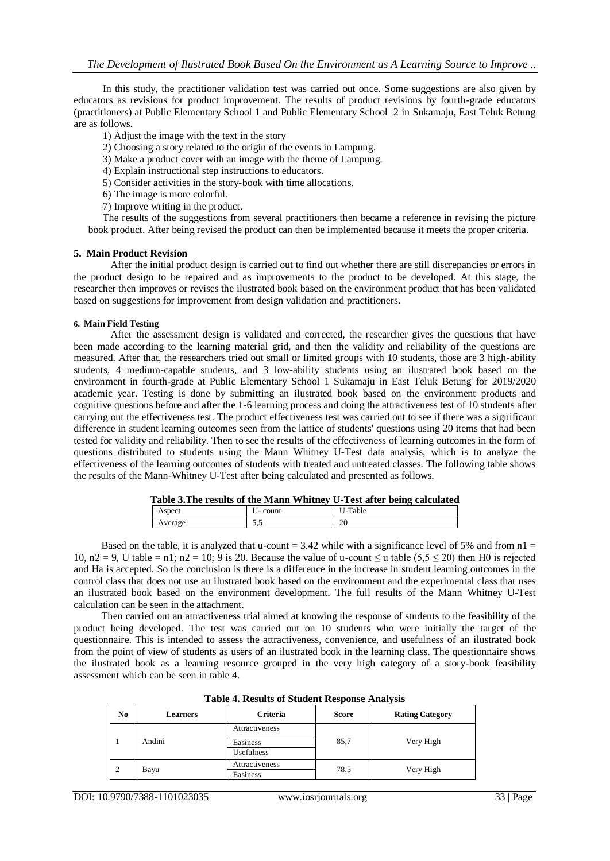In this study, the practitioner validation test was carried out once. Some suggestions are also given by educators as revisions for product improvement. The results of product revisions by fourth-grade educators (practitioners) at Public Elementary School 1 and Public Elementary School 2 in Sukamaju, East Teluk Betung are as follows.

- 1) Adjust the image with the text in the story
- 2) Choosing a story related to the origin of the events in Lampung.
- 3) Make a product cover with an image with the theme of Lampung.
- 4) Explain instructional step instructions to educators.
- 5) Consider activities in the story-book with time allocations.
- 6) The image is more colorful.
- 7) Improve writing in the product.

The results of the suggestions from several practitioners then became a reference in revising the picture book product. After being revised the product can then be implemented because it meets the proper criteria.

## **5. Main Product Revision**

After the initial product design is carried out to find out whether there are still discrepancies or errors in the product design to be repaired and as improvements to the product to be developed. At this stage, the researcher then improves or revises the ilustrated book based on the environment product that has been validated based on suggestions for improvement from design validation and practitioners.

#### **6. Main Field Testing**

After the assessment design is validated and corrected, the researcher gives the questions that have been made according to the learning material grid, and then the validity and reliability of the questions are measured. After that, the researchers tried out small or limited groups with 10 students, those are 3 high-ability students, 4 medium-capable students, and 3 low-ability students using an ilustrated book based on the environment in fourth-grade at Public Elementary School 1 Sukamaju in East Teluk Betung for 2019/2020 academic year. Testing is done by submitting an ilustrated book based on the environment products and cognitive questions before and after the 1-6 learning process and doing the attractiveness test of 10 students after carrying out the effectiveness test. The product effectiveness test was carried out to see if there was a significant difference in student learning outcomes seen from the lattice of students' questions using 20 items that had been tested for validity and reliability. Then to see the results of the effectiveness of learning outcomes in the form of questions distributed to students using the Mann Whitney U-Test data analysis, which is to analyze the effectiveness of the learning outcomes of students with treated and untreated classes. The following table shows the results of the Mann-Whitney U-Test after being calculated and presented as follows.

|        |         | Table 3. The results of the Mann Whitney U-Test after being calculated |  |
|--------|---------|------------------------------------------------------------------------|--|
| Aspect | U-count | U-Table                                                                |  |

Average 5.5 20

Based on the table, it is analyzed that u-count =  $3.42$  while with a significance level of 5% and from  $n_1$  = 10, n2 = 9, U table = n1; n2 = 10; 9 is 20. Because the value of u-count  $\leq$  u table (5,5  $\leq$  20) then H0 is rejected and Ha is accepted. So the conclusion is there is a difference in the increase in student learning outcomes in the control class that does not use an ilustrated book based on the environment and the experimental class that uses an ilustrated book based on the environment development. The full results of the Mann Whitney U-Test calculation can be seen in the attachment.

Then carried out an attractiveness trial aimed at knowing the response of students to the feasibility of the product being developed. The test was carried out on 10 students who were initially the target of the questionnaire. This is intended to assess the attractiveness, convenience, and usefulness of an ilustrated book from the point of view of students as users of an ilustrated book in the learning class. The questionnaire shows the ilustrated book as a learning resource grouped in the very high category of a story-book feasibility assessment which can be seen in table 4.

| No             | Learners | <b>Criteria</b>   | <b>Score</b> | <b>Rating Category</b> |
|----------------|----------|-------------------|--------------|------------------------|
|                |          | Attractiveness    | 85,7         | Very High              |
|                | Andini   | Easiness          |              |                        |
|                |          | <b>Usefulness</b> |              |                        |
| $\overline{2}$ | Bayu     | Attractiveness    | 78,5         | Very High              |
|                |          | Easiness          |              |                        |

| <b>Table 4. Results of Student Response Analysis</b> |  |  |
|------------------------------------------------------|--|--|
|------------------------------------------------------|--|--|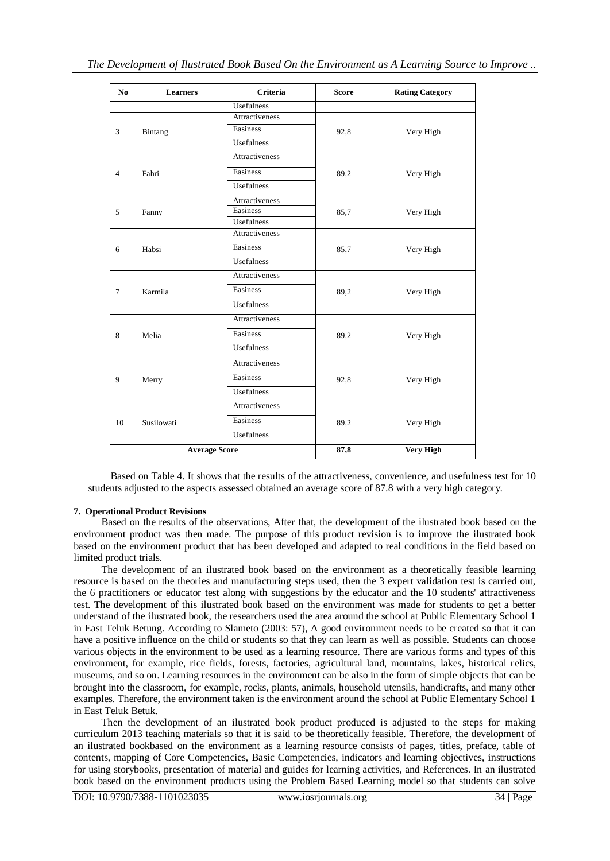| No                   | <b>Learners</b> | Criteria              | <b>Score</b> | <b>Rating Category</b> |
|----------------------|-----------------|-----------------------|--------------|------------------------|
|                      |                 | Usefulness            |              |                        |
|                      | Bintang         | Attractiveness        |              |                        |
| 3                    |                 | Easiness              | 92,8         | Very High              |
|                      |                 | Usefulness            |              |                        |
|                      |                 | <b>Attractiveness</b> |              |                        |
| $\overline{4}$       | Fahri           | Easiness              | 89,2         | Very High              |
|                      |                 | Usefulness            |              |                        |
|                      |                 | Attractiveness        |              | Very High              |
| 5                    | Fanny           | Easiness              | 85,7         |                        |
|                      |                 | Usefulness            |              |                        |
|                      |                 | Attractiveness        |              | Very High              |
| 6                    | Habsi           | Easiness              | 85,7         |                        |
|                      |                 | Usefulness            |              |                        |
|                      | Karmila         | Attractiveness        | 89,2         | Very High              |
| $\tau$               |                 | Easiness              |              |                        |
|                      |                 | Usefulness            |              |                        |
|                      | Melia           | Attractiveness        | 89,2         | Very High              |
| 8                    |                 | Easiness              |              |                        |
|                      |                 | <b>Usefulness</b>     |              |                        |
|                      |                 | Attractiveness        |              |                        |
| 9                    | Merry           | Easiness              | 92,8         | Very High              |
|                      |                 | <b>Usefulness</b>     |              |                        |
|                      | Susilowati      | Attractiveness        | 89,2         | Very High              |
| 10                   |                 | Easiness              |              |                        |
|                      |                 | Usefulness            |              |                        |
| <b>Average Score</b> |                 |                       | 87,8         | <b>Very High</b>       |

Based on Table 4. It shows that the results of the attractiveness, convenience, and usefulness test for 10 students adjusted to the aspects assessed obtained an average score of 87.8 with a very high category.

# **7. Operational Product Revisions**

Based on the results of the observations, After that, the development of the ilustrated book based on the environment product was then made. The purpose of this product revision is to improve the ilustrated book based on the environment product that has been developed and adapted to real conditions in the field based on limited product trials.

The development of an ilustrated book based on the environment as a theoretically feasible learning resource is based on the theories and manufacturing steps used, then the 3 expert validation test is carried out, the 6 practitioners or educator test along with suggestions by the educator and the 10 students' attractiveness test. The development of this ilustrated book based on the environment was made for students to get a better understand of the ilustrated book, the researchers used the area around the school at Public Elementary School 1 in East Teluk Betung. According to Slameto (2003: 57), A good environment needs to be created so that it can have a positive influence on the child or students so that they can learn as well as possible. Students can choose various objects in the environment to be used as a learning resource. There are various forms and types of this environment, for example, rice fields, forests, factories, agricultural land, mountains, lakes, historical relics, museums, and so on. Learning resources in the environment can be also in the form of simple objects that can be brought into the classroom, for example, rocks, plants, animals, household utensils, handicrafts, and many other examples. Therefore, the environment taken is the environment around the school at Public Elementary School 1 in East Teluk Betuk.

Then the development of an ilustrated book product produced is adjusted to the steps for making curriculum 2013 teaching materials so that it is said to be theoretically feasible. Therefore, the development of an ilustrated bookbased on the environment as a learning resource consists of pages, titles, preface, table of contents, mapping of Core Competencies, Basic Competencies, indicators and learning objectives, instructions for using storybooks, presentation of material and guides for learning activities, and References. In an ilustrated book based on the environment products using the Problem Based Learning model so that students can solve